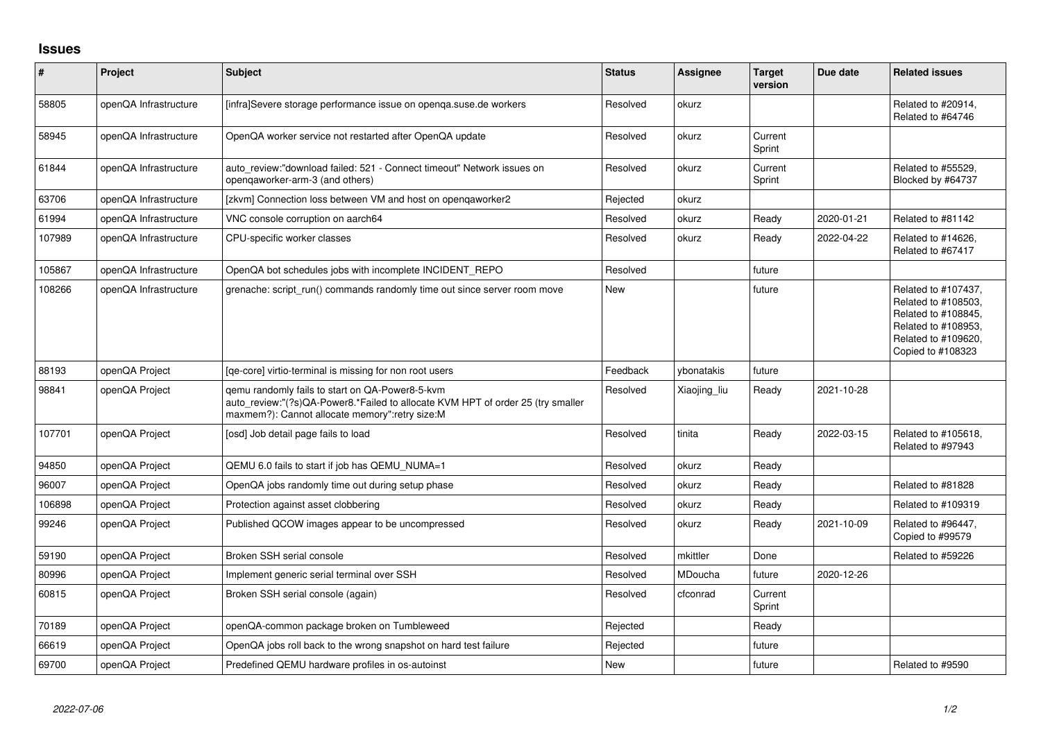## **Issues**

| #      | Project               | <b>Subject</b>                                                                                                                                                                       | <b>Status</b> | Assignee     | <b>Target</b><br>version | Due date   | <b>Related issues</b>                                                                                                                |
|--------|-----------------------|--------------------------------------------------------------------------------------------------------------------------------------------------------------------------------------|---------------|--------------|--------------------------|------------|--------------------------------------------------------------------------------------------------------------------------------------|
| 58805  | openQA Infrastructure | [infra]Severe storage performance issue on openqa.suse.de workers                                                                                                                    | Resolved      | okurz        |                          |            | Related to #20914,<br>Related to #64746                                                                                              |
| 58945  | openQA Infrastructure | OpenQA worker service not restarted after OpenQA update                                                                                                                              | Resolved      | okurz        | Current<br>Sprint        |            |                                                                                                                                      |
| 61844  | openQA Infrastructure | auto review:"download failed: 521 - Connect timeout" Network issues on<br>opengaworker-arm-3 (and others)                                                                            | Resolved      | okurz        | Current<br>Sprint        |            | Related to #55529.<br>Blocked by #64737                                                                                              |
| 63706  | openQA Infrastructure | [zkvm] Connection loss between VM and host on opengaworker2                                                                                                                          | Rejected      | okurz        |                          |            |                                                                                                                                      |
| 61994  | openQA Infrastructure | VNC console corruption on aarch64                                                                                                                                                    | Resolved      | okurz        | Ready                    | 2020-01-21 | Related to #81142                                                                                                                    |
| 107989 | openQA Infrastructure | CPU-specific worker classes                                                                                                                                                          | Resolved      | okurz        | Ready                    | 2022-04-22 | Related to #14626,<br>Related to #67417                                                                                              |
| 105867 | openQA Infrastructure | OpenQA bot schedules jobs with incomplete INCIDENT REPO                                                                                                                              | Resolved      |              | future                   |            |                                                                                                                                      |
| 108266 | openQA Infrastructure | grenache: script run() commands randomly time out since server room move                                                                                                             | <b>New</b>    |              | future                   |            | Related to #107437,<br>Related to #108503,<br>Related to #108845,<br>Related to #108953,<br>Related to #109620,<br>Copied to #108323 |
| 88193  | openQA Project        | [ge-core] virtio-terminal is missing for non root users                                                                                                                              | Feedback      | vbonatakis   | future                   |            |                                                                                                                                      |
| 98841  | openQA Project        | gemu randomly fails to start on QA-Power8-5-kvm<br>auto_review:"(?s)QA-Power8.*Failed to allocate KVM HPT of order 25 (try smaller<br>maxmem?): Cannot allocate memory":retry size:M | Resolved      | Xiaojing liu | Ready                    | 2021-10-28 |                                                                                                                                      |
| 107701 | openQA Project        | [osd] Job detail page fails to load                                                                                                                                                  | Resolved      | tinita       | Ready                    | 2022-03-15 | Related to #105618,<br>Related to #97943                                                                                             |
| 94850  | openQA Project        | QEMU 6.0 fails to start if job has QEMU_NUMA=1                                                                                                                                       | Resolved      | okurz        | Ready                    |            |                                                                                                                                      |
| 96007  | openQA Project        | OpenQA jobs randomly time out during setup phase                                                                                                                                     | Resolved      | okurz        | Ready                    |            | Related to #81828                                                                                                                    |
| 106898 | openQA Project        | Protection against asset clobbering                                                                                                                                                  | Resolved      | okurz        | Ready                    |            | Related to #109319                                                                                                                   |
| 99246  | openQA Project        | Published QCOW images appear to be uncompressed                                                                                                                                      | Resolved      | okurz        | Ready                    | 2021-10-09 | Related to #96447,<br>Copied to #99579                                                                                               |
| 59190  | openQA Project        | Broken SSH serial console                                                                                                                                                            | Resolved      | mkittler     | Done                     |            | Related to #59226                                                                                                                    |
| 80996  | openQA Project        | Implement generic serial terminal over SSH                                                                                                                                           | Resolved      | MDoucha      | future                   | 2020-12-26 |                                                                                                                                      |
| 60815  | openQA Project        | Broken SSH serial console (again)                                                                                                                                                    | Resolved      | cfconrad     | Current<br>Sprint        |            |                                                                                                                                      |
| 70189  | openQA Project        | openQA-common package broken on Tumbleweed                                                                                                                                           | Rejected      |              | Ready                    |            |                                                                                                                                      |
| 66619  | openQA Project        | OpenQA jobs roll back to the wrong snapshot on hard test failure                                                                                                                     | Rejected      |              | future                   |            |                                                                                                                                      |
| 69700  | openQA Project        | Predefined QEMU hardware profiles in os-autoinst                                                                                                                                     | <b>New</b>    |              | future                   |            | Related to #9590                                                                                                                     |